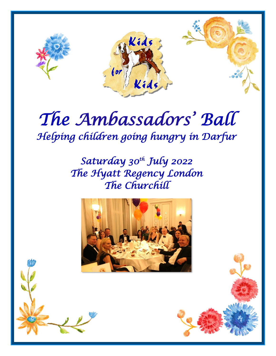

# *The Ambassadors' Ball Helping children going hungry in Darfur*

*Saturday 30th July 2022 The Hyatt Regency London The Churchill* 

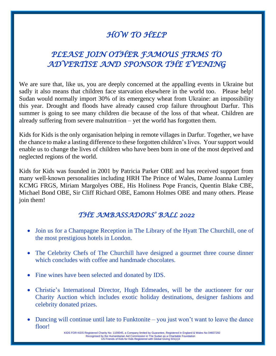# *HOW TO HELP*

# *PLEASE JOIN OTHER FAMOUS FIRMS TO ADVERTISE AND SPONSOR THE EVENING*

We are sure that, like us, you are deeply concerned at the appalling events in Ukraine but sadly it also means that children face starvation elsewhere in the world too. Please help! Sudan would normally import 30% of its emergency wheat from Ukraine: an impossibility this year. Drought and floods have already caused crop failure throughout Darfur. This summer is going to see many children die because of the loss of that wheat. Children are already suffering from severe malnutrition – yet the world has forgotten them.

Kids for Kids is the only organisation helping in remote villages in Darfur. Together, we have the chance to make a lasting difference to these forgotten children's lives. Your support would enable us to change the lives of children who have been born in one of the most deprived and neglected regions of the world.

Kids for Kids was founded in 2001 by Patricia Parker OBE and has received support from many well-known personalities including HRH The Prince of Wales, Dame Joanna Lumley KCMG FRGS, Miriam Margolyes OBE, His Holiness Pope Francis, Quentin Blake CBE, Michael Bond OBE, Sir Cliff Richard OBE, Eamonn Holmes OBE and many others. Please join them!

## *THE AMBASSADORS' BALL 2022*

- Join us for a Champagne Reception in The Library of the Hyatt The Churchill, one of the most prestigious hotels in London.
- The Celebrity Chefs of The Churchill have designed a gourmet three course dinner which concludes with coffee and handmade chocolates.
- Fine wines have been selected and donated by IDS.
- Christie's International Director, Hugh Edmeades, will be the auctioneer for our Charity Auction which includes exotic holiday destinations, designer fashions and celebrity donated prizes.
- Dancing will continue until late to Funktonite you just won't want to leave the dance floor!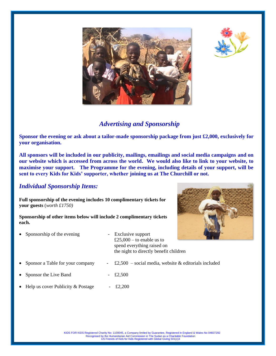



## *Advertising and Sponsorship*

**Sponsor the evening or ask about a tailor-made sponsorship package from just £2,000, exclusively for your organisation.** 

**All sponsors will be included in our publicity, mailings, emailings and social media campaigns and on our website which is accessed from across the world. We would also like to link to your website, to maximise your support. The Programme for the evening, including details of your support, will be sent to every Kids for Kids' supporter, whether joining us at The Churchill or not.** 

### *Individual Sponsorship Items:*

**Full sponsorship of the evening includes 10 complimentary tickets for your guests** (*worth £1750)*

**Sponsorship of other items below will include 2 complimentary tickets each.** 

- Sponsorship of the evening Exclusive support £25,000 – to enable us to spend everything raised on the night to directly benefit children Sponsor a Table for your company  $\qquad$  -  $\pounds$ 2,500 – social media, website & editorials included
- Sponsor the Live Band £2,500
- Help us cover Publicity & Postage  $\qquad$  £2,200

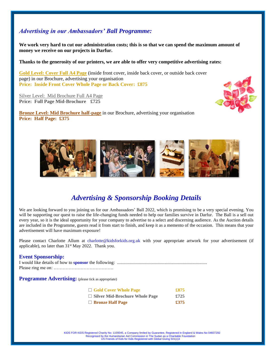### *Advertising in our Ambassadors' Ball Programme:*

**We work very hard to cut our administration costs; this is so that we can spend the maximum amount of money we receive on our projects in Darfur.** 

**Thanks to the generosity of our printers, we are able to offer very competitive advertising rates:**

**Gold Level: Cover Full A4 Page** (inside front cover, inside back cover, or outside back cover page) in our Brochure, advertising your organisation **Price: Inside Front Cover Whole Page or Back Cover: £875** 

Silver Level: Mid Brochure Full A4 Page **Price: Full Page Mid-Brochure £725**

**Bronze Level: Mid Brochure half-page** in our Brochure, advertising your organisation **Price: Half Page: £375** 





## *Advertising & Sponsorship Booking Details*

We are looking forward to you joining us for our Ambassadors' Ball 2022, which is promising to be a very special evening. You will be supporting our quest to raise the life-changing funds needed to help our families survive in Darfur. The Ball is a sell out every year, so it is the ideal opportunity for your company to advertise to a select and discerning audience. As the Auction details are included in the Programme, guests read it from start to finish, and keep it as a memento of the occasion. This means that your advertisement will have maximum exposure!

Please contact Charlotte Allum at charlotte@kidsforkids.org.uk with your appropriate artwork for your advertisement (if applicable), no later than 31<sup>st</sup> May 2022. Thank you.

#### **Event Sponsorship:**

**Programme Advertising:** (please tick as appropriate)

| $\Box$ Gold Cover Whole Page          | £875 |
|---------------------------------------|------|
| $\Box$ Silver Mid-Brochure Whole Page | £725 |
| □ Bronze Half Page                    | £375 |